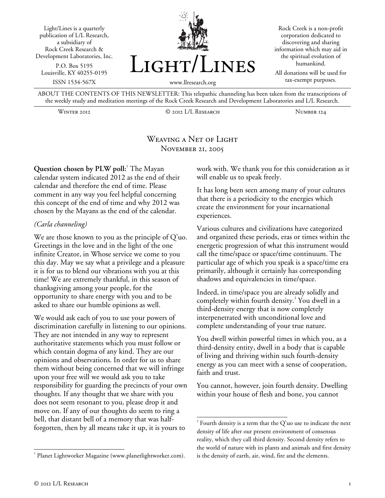



Rock Creek is a non-profit corporation dedicated to discovering and sharing information which may aid in the spiritual evolution of humankind.

All donations will be used for tax-exempt purposes.

ABOUT THE CONTENTS OF THIS NEWSLETTER: This telepathic channeling has been taken from the transcriptions of the weekly study and meditation meetings of the Rock Creek Research and Development Laboratories and L/L Research.

Winter 2012 © 2012 L/L Research Number 124

## WEAVING A NET OF LIGHT November 21, 2005

 $\overline{a}$ 

**Question chosen by PLW poll:**<sup>1</sup> The Mayan calendar system indicated 2012 as the end of their calendar and therefore the end of time. Please comment in any way you feel helpful concerning this concept of the end of time and why 2012 was chosen by the Mayans as the end of the calendar.

## *(Carla channeling)*

We are those known to you as the principle of Q'uo. Greetings in the love and in the light of the one infinite Creator, in Whose service we come to you this day. May we say what a privilege and a pleasure it is for us to blend our vibrations with you at this time! We are extremely thankful, in this season of thanksgiving among your people, for the opportunity to share energy with you and to be asked to share our humble opinions as well.

We would ask each of you to use your powers of discrimination carefully in listening to our opinions. They are not intended in any way to represent authoritative statements which you must follow or which contain dogma of any kind. They are our opinions and observations. In order for us to share them without being concerned that we will infringe upon your free will we would ask you to take responsibility for guarding the precincts of your own thoughts. If any thought that we share with you does not seem resonant to you, please drop it and move on. If any of our thoughts do seem to ring a bell, that distant bell of a memory that was halfforgotten, then by all means take it up, it is yours to

work with. We thank you for this consideration as it will enable us to speak freely.

It has long been seen among many of your cultures that there is a periodicity to the energies which create the environment for your incarnational experiences.

Various cultures and civilizations have categorized and organized these periods, eras or times within the energetic progression of what this instrument would call the time/space or space/time continuum. The particular age of which you speak is a space/time era primarily, although it certainly has corresponding shadows and equivalencies in time/space.

Indeed, in time/space you are already solidly and completely within fourth density.<sup>2</sup> You dwell in a third-density energy that is now completely interpenetrated with unconditional love and complete understanding of your true nature.

You dwell within powerful times in which you, as a third-density entity, dwell in a body that is capable of living and thriving within such fourth-density energy as you can meet with a sense of cooperation, faith and trust.

You cannot, however, join fourth density. Dwelling within your house of flesh and bone, you cannot

l

<sup>&</sup>lt;sup>1</sup> Planet Lightworker Magazine (www.planetlightworker.com).

 $2^{2}$  Fourth density is a term that the Q'uo use to indicate the next density of life after our present environment of consensus reality, which they call third density. Second density refers to the world of nature with its plants and animals and first density is the density of earth, air, wind, fire and the elements.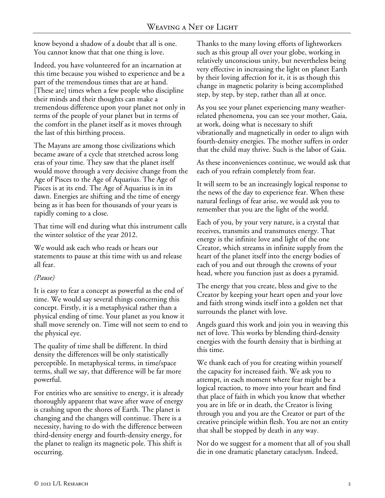know beyond a shadow of a doubt that all is one. You cannot know that that one thing is love.

Indeed, you have volunteered for an incarnation at this time because you wished to experience and be a part of the tremendous times that are at hand. [These are] times when a few people who discipline their minds and their thoughts can make a tremendous difference upon your planet not only in terms of the people of your planet but in terms of the comfort in the planet itself as it moves through the last of this birthing process.

The Mayans are among those civilizations which became aware of a cycle that stretched across long eras of your time. They saw that the planet itself would move through a very decisive change from the Age of Pisces to the Age of Aquarius. The Age of Pisces is at its end. The Age of Aquarius is in its dawn. Energies are shifting and the time of energy being as it has been for thousands of your years is rapidly coming to a close.

That time will end during what this instrument calls the winter solstice of the year 2012.

We would ask each who reads or hears our statements to pause at this time with us and release all fear.

## *(Pause)*

It is easy to fear a concept as powerful as the end of time. We would say several things concerning this concept. Firstly, it is a metaphysical rather than a physical ending of time. Your planet as you know it shall move serenely on. Time will not seem to end to the physical eye.

The quality of time shall be different. In third density the differences will be only statistically perceptible. In metaphysical terms, in time/space terms, shall we say, that difference will be far more powerful.

For entities who are sensitive to energy, it is already thoroughly apparent that wave after wave of energy is crashing upon the shores of Earth. The planet is changing and the changes will continue. There is a necessity, having to do with the difference between third-density energy and fourth-density energy, for the planet to realign its magnetic pole. This shift is occurring.

Thanks to the many loving efforts of lightworkers such as this group all over your globe, working in relatively unconscious unity, but nevertheless being very effective in increasing the light on planet Earth by their loving affection for it, it is as though this change in magnetic polarity is being accomplished step, by step, by step, rather than all at once.

As you see your planet experiencing many weatherrelated phenomena, you can see your mother, Gaia, at work, doing what is necessary to shift vibrationally and magnetically in order to align with fourth-density energies. The mother suffers in order that the child may thrive. Such is the labor of Gaia.

As these inconveniences continue, we would ask that each of you refrain completely from fear.

It will seem to be an increasingly logical response to the news of the day to experience fear. When these natural feelings of fear arise, we would ask you to remember that you are the light of the world.

Each of you, by your very nature, is a crystal that receives, transmits and transmutes energy. That energy is the infinite love and light of the one Creator, which streams in infinite supply from the heart of the planet itself into the energy bodies of each of you and out through the crowns of your head, where you function just as does a pyramid.

The energy that you create, bless and give to the Creator by keeping your heart open and your love and faith strong winds itself into a golden net that surrounds the planet with love.

Angels guard this work and join you in weaving this net of love. This works by blending third-density energies with the fourth density that is birthing at this time.

We thank each of you for creating within yourself the capacity for increased faith. We ask you to attempt, in each moment where fear might be a logical reaction, to move into your heart and find that place of faith in which you know that whether you are in life or in death, the Creator is living through you and you are the Creator or part of the creative principle within flesh. You are not an entity that shall be stopped by death in any way.

Nor do we suggest for a moment that all of you shall die in one dramatic planetary cataclysm. Indeed,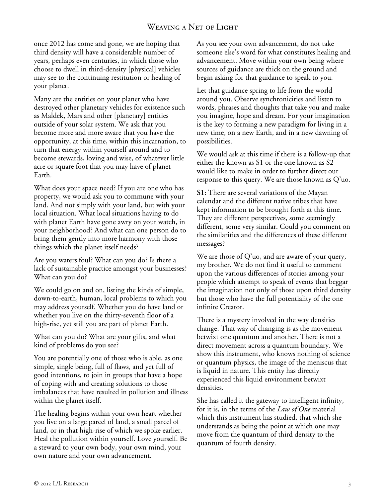once 2012 has come and gone, we are hoping that third density will have a considerable number of years, perhaps even centuries, in which those who choose to dwell in third-density [physical] vehicles may see to the continuing restitution or healing of your planet.

Many are the entities on your planet who have destroyed other planetary vehicles for existence such as Maldek, Mars and other [planetary] entities outside of your solar system. We ask that you become more and more aware that you have the opportunity, at this time, within this incarnation, to turn that energy within yourself around and to become stewards, loving and wise, of whatever little acre or square foot that you may have of planet Earth.

What does your space need? If you are one who has property, we would ask you to commune with your land. And not simply with your land, but with your local situation. What local situations having to do with planet Earth have gone awry on your watch, in your neighborhood? And what can one person do to bring them gently into more harmony with those things which the planet itself needs?

Are you waters foul? What can you do? Is there a lack of sustainable practice amongst your businesses? What can you do?

We could go on and on, listing the kinds of simple, down-to-earth, human, local problems to which you may address yourself. Whether you do have land or whether you live on the thirty-seventh floor of a high-rise, yet still you are part of planet Earth.

What can you do? What are your gifts, and what kind of problems do you see?

You are potentially one of those who is able, as one simple, single being, full of flaws, and yet full of good intentions, to join in groups that have a hope of coping with and creating solutions to those imbalances that have resulted in pollution and illness within the planet itself.

The healing begins within your own heart whether you live on a large parcel of land, a small parcel of land, or in that high-rise of which we spoke earlier. Heal the pollution within yourself. Love yourself. Be a steward to your own body, your own mind, your own nature and your own advancement.

As you see your own advancement, do not take someone else's word for what constitutes healing and advancement. Move within your own being where sources of guidance are thick on the ground and begin asking for that guidance to speak to you.

Let that guidance spring to life from the world around you. Observe synchronicities and listen to words, phrases and thoughts that take you and make you imagine, hope and dream. For your imagination is the key to forming a new paradigm for living in a new time, on a new Earth, and in a new dawning of possibilities.

We would ask at this time if there is a follow-up that either the known as S1 or the one known as S2 would like to make in order to further direct our response to this query. We are those known as Q'uo.

**S1:** There are several variations of the Mayan calendar and the different native tribes that have kept information to be brought forth at this time. They are different perspectives, some seemingly different, some very similar. Could you comment on the similarities and the differences of these different messages?

We are those of Q'uo, and are aware of your query, my brother. We do not find it useful to comment upon the various differences of stories among your people which attempt to speak of events that beggar the imagination not only of those upon third density but those who have the full potentiality of the one infinite Creator.

There is a mystery involved in the way densities change. That way of changing is as the movement betwixt one quantum and another. There is not a direct movement across a quantum boundary. We show this instrument, who knows nothing of science or quantum physics, the image of the meniscus that is liquid in nature. This entity has directly experienced this liquid environment betwixt densities.

She has called it the gateway to intelligent infinity, for it is, in the terms of the *Law of One* material which this instrument has studied, that which she understands as being the point at which one may move from the quantum of third density to the quantum of fourth density.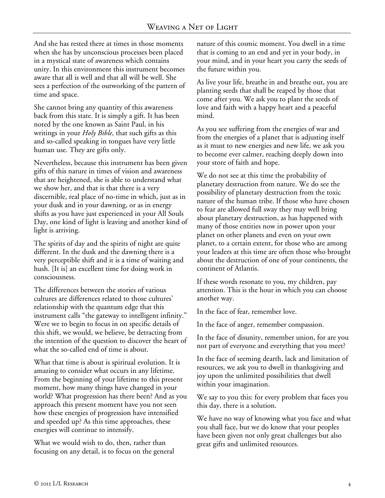And she has rested there at times in those moments when she has by unconscious processes been placed in a mystical state of awareness which contains unity. In this environment this instrument becomes aware that all is well and that all will be well. She sees a perfection of the outworking of the pattern of time and space.

She cannot bring any quantity of this awareness back from this state. It is simply a gift. It has been noted by the one known as Saint Paul, in his writings in your *Holy Bible*, that such gifts as this and so-called speaking in tongues have very little human use. They are gifts only.

Nevertheless, because this instrument has been given gifts of this nature in times of vision and awareness that are heightened, she is able to understand what we show her, and that is that there is a very discernible, real place of no-time in which, just as in your dusk and in your dawning, or as in energy shifts as you have just experienced in your All Souls Day, one kind of light is leaving and another kind of light is arriving.

The spirits of day and the spirits of night are quite different. In the dusk and the dawning there is a very perceptible shift and it is a time of waiting and hush. [It is] an excellent time for doing work in consciousness.

The differences between the stories of various cultures are differences related to those cultures' relationship with the quantum edge that this instrument calls "the gateway to intelligent infinity." Were we to begin to focus in on specific details of this shift, we would, we believe, be detracting from the intention of the question to discover the heart of what the so-called end of time is about.

What that time is about is spiritual evolution. It is amazing to consider what occurs in any lifetime. From the beginning of your lifetime to this present moment, how many things have changed in your world? What progression has there been? And as you approach this present moment have you not seen how these energies of progression have intensified and speeded up? As this time approaches, these energies will continue to intensify.

What we would wish to do, then, rather than focusing on any detail, is to focus on the general nature of this cosmic moment. You dwell in a time that is coming to an end and yet in your body, in your mind, and in your heart you carry the seeds of the future within you.

As live your life, breathe in and breathe out, you are planting seeds that shall be reaped by those that come after you. We ask you to plant the seeds of love and faith with a happy heart and a peaceful mind.

As you see suffering from the energies of war and from the energies of a planet that is adjusting itself as it must to new energies and new life, we ask you to become ever calmer, reaching deeply down into your store of faith and hope.

We do not see at this time the probability of planetary destruction from nature. We do see the possibility of planetary destruction from the toxic nature of the human tribe. If those who have chosen to fear are allowed full sway they may well bring about planetary destruction, as has happened with many of those entities now in power upon your planet on other planets and even on your own planet, to a certain extent, for those who are among your leaders at this time are often those who brought about the destruction of one of your continents, the continent of Atlantis.

If these words resonate to you, my children, pay attention. This is the hour in which you can choose another way.

In the face of fear, remember love.

In the face of anger, remember compassion.

In the face of disunity, remember union, for are you not part of everyone and everything that you meet?

In the face of seeming dearth, lack and limitation of resources, we ask you to dwell in thanksgiving and joy upon the unlimited possibilities that dwell within your imagination.

We say to you this: for every problem that faces you this day, there is a solution.

We have no way of knowing what you face and what you shall face, but we do know that your peoples have been given not only great challenges but also great gifts and unlimited resources.